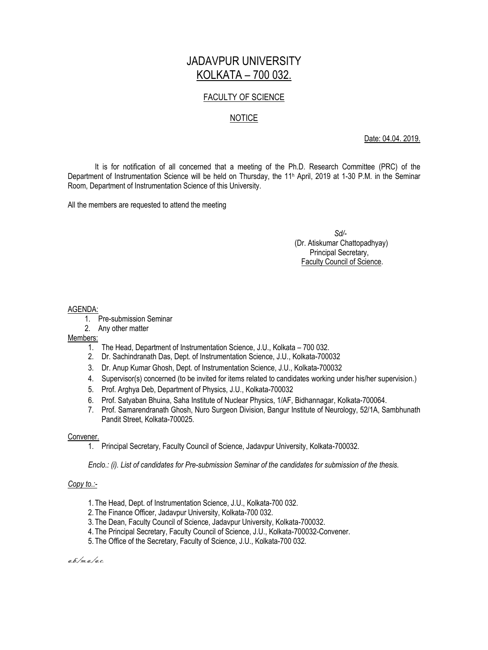# JADAVPUR UNIVERSITY KOLKATA – 700 032.

# FACULTY OF SCIENCE

# NOTICE

Date: 04.04. 2019.

It is for notification of all concerned that a meeting of the Ph.D. Research Committee (PRC) of the Department of Instrumentation Science will be held on Thursday, the 11<sup>h</sup> April, 2019 at 1-30 P.M. in the Seminar Room, Department of Instrumentation Science of this University.

All the members are requested to attend the meeting

 *Sd/-* (Dr. Atiskumar Chattopadhyay) Principal Secretary, Faculty Council of Science.

## AGENDA:

- 1. Pre-submission Seminar
- 2. Any other matter

## Members:

- 1. The Head, Department of Instrumentation Science, J.U., Kolkata 700 032.
- 2. Dr. Sachindranath Das, Dept. of Instrumentation Science, J.U., Kolkata-700032
- 3. Dr. Anup Kumar Ghosh, Dept. of Instrumentation Science, J.U., Kolkata-700032
- 4. Supervisor(s) concerned (to be invited for items related to candidates working under his/her supervision.)
- 5. Prof. Arghya Deb, Department of Physics, J.U., Kolkata-700032
- 6. Prof. Satyaban Bhuina, Saha Institute of Nuclear Physics, 1/AF, Bidhannagar, Kolkata-700064.
- 7. Prof. Samarendranath Ghosh, Nuro Surgeon Division, Bangur Institute of Neurology, 52/1A, Sambhunath Pandit Street, Kolkata-700025.

## Convener.

1. Principal Secretary, Faculty Council of Science, Jadavpur University, Kolkata-700032.

*Enclo.: (i). List of candidates for Pre-submission Seminar of the candidates for submission of the thesis.*

## *Copy to.:-*

- 1. The Head, Dept. of Instrumentation Science, J.U., Kolkata-700 032.
- 2. The Finance Officer, Jadavpur University, Kolkata-700 032.
- 3. The Dean, Faculty Council of Science, Jadavpur University, Kolkata-700032.
- 4. The Principal Secretary, Faculty Council of Science, J.U., Kolkata-700032-Convener.
- 5. The Office of the Secretary, Faculty of Science, J.U., Kolkata-700 032.

a.b./m.a./a.c.